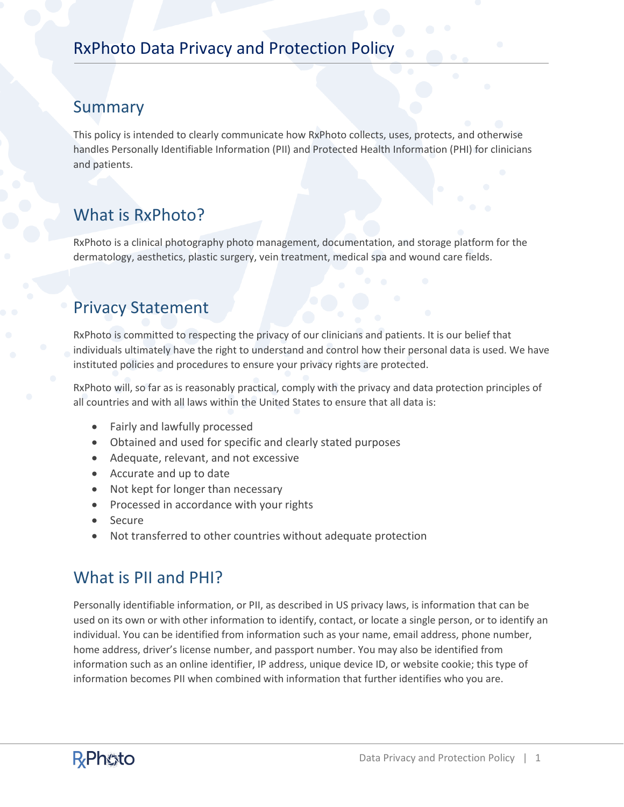#### Summary

This policy is intended to clearly communicate how RxPhoto collects, uses, protects, and otherwise handles Personally Identifiable Information (PII) and Protected Health Information (PHI) for clinicians and patients.

# What is RxPhoto?

RxPhoto is a clinical photography photo management, documentation, and storage platform for the dermatology, aesthetics, plastic surgery, vein treatment, medical spa and wound care fields.

#### Privacy Statement

RxPhoto is committed to respecting the privacy of our clinicians and patients. It is our belief that individuals ultimately have the right to understand and control how their personal data is used. We have instituted policies and procedures to ensure your privacy rights are protected.

RxPhoto will, so far as is reasonably practical, comply with the privacy and data protection principles of all countries and with all laws within the United States to ensure that all data is:

- Fairly and lawfully processed
- Obtained and used for specific and clearly stated purposes
- Adequate, relevant, and not excessive
- Accurate and up to date
- Not kept for longer than necessary
- Processed in accordance with your rights
- **Secure**
- Not transferred to other countries without adequate protection

## What is PII and PHI?

Personally identifiable information, or PII, as described in US privacy laws, is information that can be used on its own or with other information to identify, contact, or locate a single person, or to identify an individual. You can be identified from information such as your name, email address, phone number, home address, driver's license number, and passport number. You may also be identified from information such as an online identifier, IP address, unique device ID, or website cookie; this type of information becomes PII when combined with information that further identifies who you are.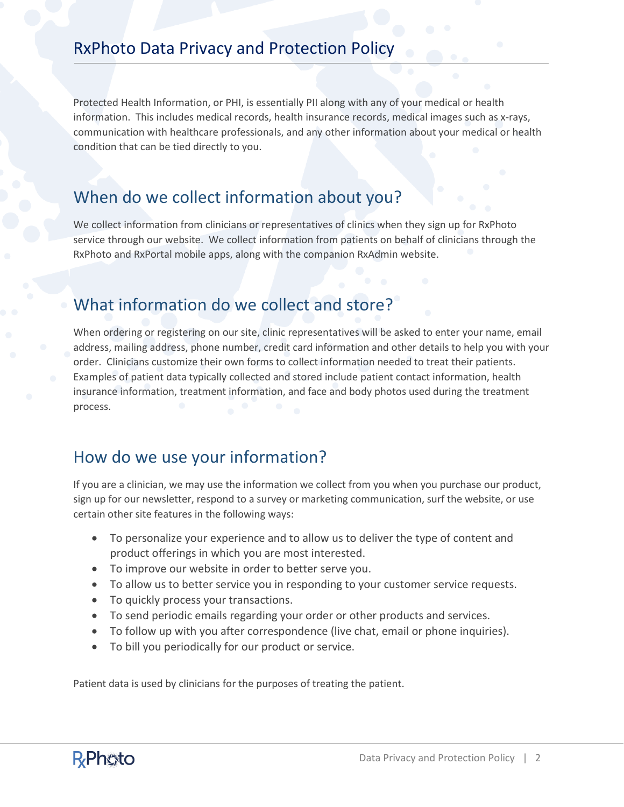Protected Health Information, or PHI, is essentially PII along with any of your medical or health information. This includes medical records, health insurance records, medical images such as x-rays, communication with healthcare professionals, and any other information about your medical or health condition that can be tied directly to you.

#### When do we collect information about you?

We collect information from clinicians or representatives of clinics when they sign up for RxPhoto service through our website. We collect information from patients on behalf of clinicians through the RxPhoto and RxPortal mobile apps, along with the companion RxAdmin website.

# What information do we collect and store?

When ordering or registering on our site, clinic representatives will be asked to enter your name, email address, mailing address, phone number, credit card information and other details to help you with your order. Clinicians customize their own forms to collect information needed to treat their patients. Examples of patient data typically collected and stored include patient contact information, health insurance information, treatment information, and face and body photos used during the treatment process.

#### How do we use your information?

If you are a clinician, we may use the information we collect from you when you purchase our product, sign up for our newsletter, respond to a survey or marketing communication, surf the website, or use certain other site features in the following ways:

- To personalize your experience and to allow us to deliver the type of content and product offerings in which you are most interested.
- To improve our website in order to better serve you.
- To allow us to better service you in responding to your customer service requests.
- To quickly process your transactions.
- To send periodic emails regarding your order or other products and services.
- To follow up with you after correspondence (live chat, email or phone inquiries).
- To bill you periodically for our product or service.

Patient data is used by clinicians for the purposes of treating the patient.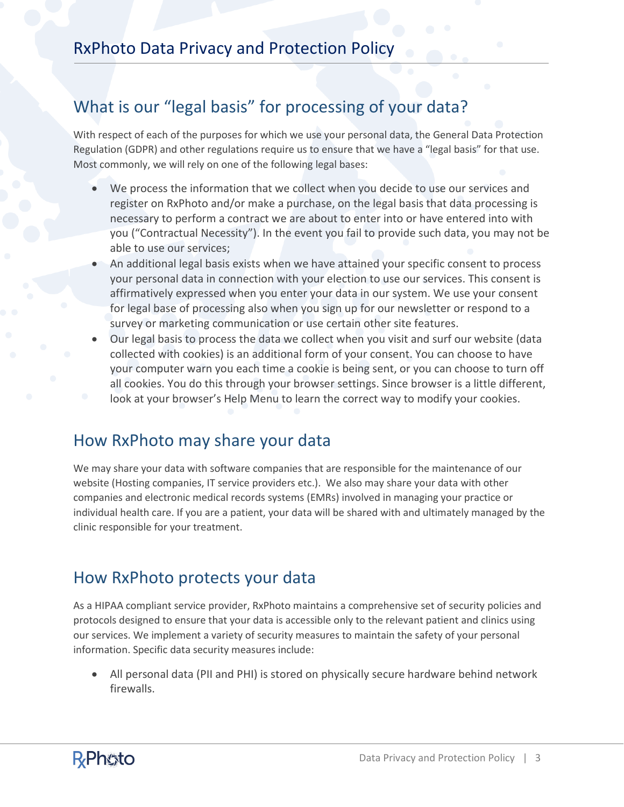## What is our "legal basis" for processing of your data?

With respect of each of the purposes for which we use your personal data, the General Data Protection Regulation (GDPR) and other regulations require us to ensure that we have a "legal basis" for that use. Most commonly, we will rely on one of the following legal bases:

- We process the information that we collect when you decide to use our services and register on RxPhoto and/or make a purchase, on the legal basis that data processing is necessary to perform a contract we are about to enter into or have entered into with you ("Contractual Necessity"). In the event you fail to provide such data, you may not be able to use our services;
- An additional legal basis exists when we have attained your specific consent to process your personal data in connection with your election to use our services. This consent is affirmatively expressed when you enter your data in our system. We use your consent for legal base of processing also when you sign up for our newsletter or respond to a survey or marketing communication or use certain other site features.
- Our legal basis to process the data we collect when you visit and surf our website (data collected with cookies) is an additional form of your consent. You can choose to have your computer warn you each time a cookie is being sent, or you can choose to turn off all cookies. You do this through your browser settings. Since browser is a little different, look at your browser's Help Menu to learn the correct way to modify your cookies.

#### How RxPhoto may share your data

We may share your data with software companies that are responsible for the maintenance of our website (Hosting companies, IT service providers etc.). We also may share your data with other companies and electronic medical records systems (EMRs) involved in managing your practice or individual health care. If you are a patient, your data will be shared with and ultimately managed by the clinic responsible for your treatment.

#### How RxPhoto protects your data

As a HIPAA compliant service provider, RxPhoto maintains a comprehensive set of security policies and protocols designed to ensure that your data is accessible only to the relevant patient and clinics using our services. We implement a variety of security measures to maintain the safety of your personal information. Specific data security measures include:

• All personal data (PII and PHI) is stored on physically secure hardware behind network firewalls.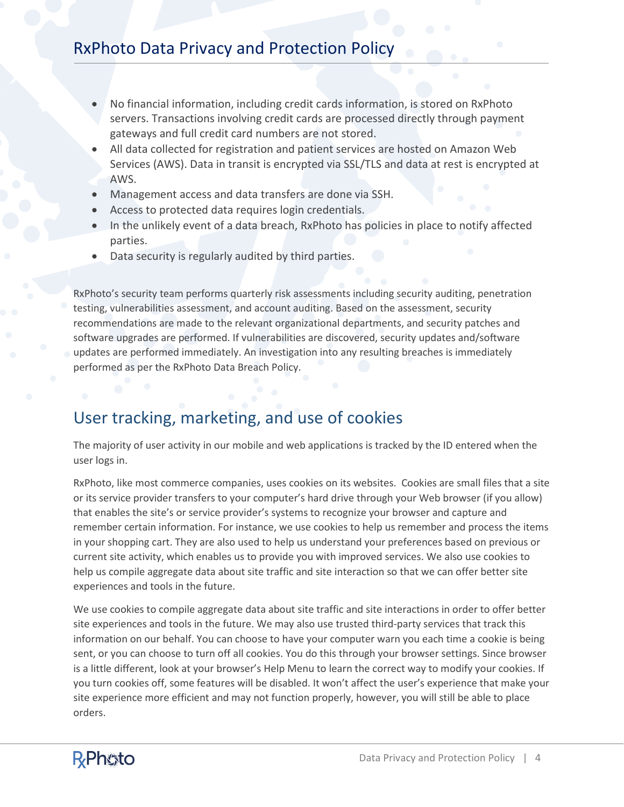- No financial information, including credit cards information, is stored on RxPhoto servers. Transactions involving credit cards are processed directly through payment gateways and full credit card numbers are not stored.
- All data collected for registration and patient services are hosted on Amazon Web Services (AWS). Data in transit is encrypted via SSL/TLS and data at rest is encrypted at AWS.
- Management access and data transfers are done via SSH.
- Access to protected data requires login credentials.
- In the unlikely event of a data breach, RxPhoto has policies in place to notify affected parties.
- Data security is regularly audited by third parties.

RxPhoto's security team performs quarterly risk assessments including security auditing, penetration testing, vulnerabilities assessment, and account auditing. Based on the assessment, security recommendations are made to the relevant organizational departments, and security patches and software upgrades are performed. If vulnerabilities are discovered, security updates and/software updates are performed immediately. An investigation into any resulting breaches is immediately performed as per the RxPhoto Data Breach Policy.

### User tracking, marketing, and use of cookies

The majority of user activity in our mobile and web applications is tracked by the ID entered when the user logs in.

RxPhoto, like most commerce companies, uses cookies on its websites. Cookies are small files that a site or its service provider transfers to your computer's hard drive through your Web browser (if you allow) that enables the site's or service provider's systems to recognize your browser and capture and remember certain information. For instance, we use cookies to help us remember and process the items in your shopping cart. They are also used to help us understand your preferences based on previous or current site activity, which enables us to provide you with improved services. We also use cookies to help us compile aggregate data about site traffic and site interaction so that we can offer better site experiences and tools in the future.

We use cookies to compile aggregate data about site traffic and site interactions in order to offer better site experiences and tools in the future. We may also use trusted third-party services that track this information on our behalf. You can choose to have your computer warn you each time a cookie is being sent, or you can choose to turn off all cookies. You do this through your browser settings. Since browser is a little different, look at your browser's Help Menu to learn the correct way to modify your cookies. If you turn cookies off, some features will be disabled. It won't affect the user's experience that make your site experience more efficient and may not function properly, however, you will still be able to place orders.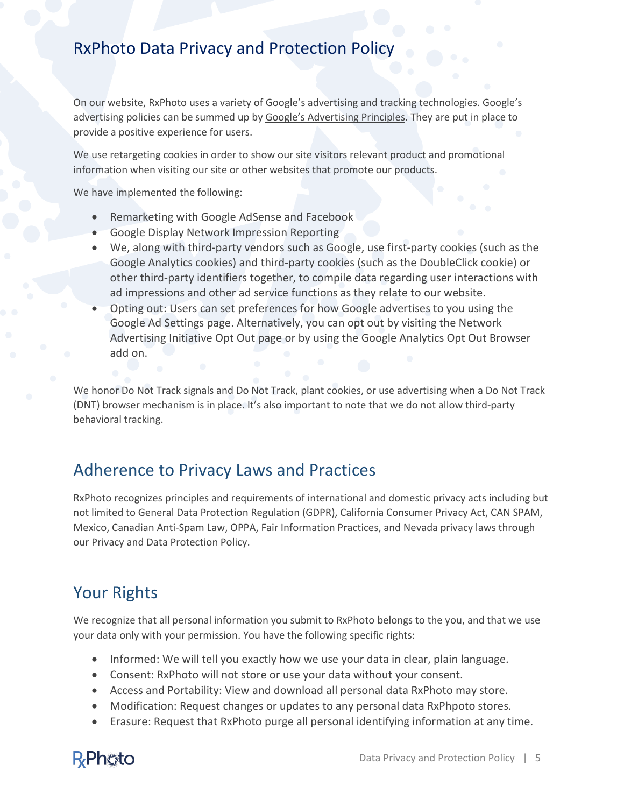On our website, RxPhoto uses a variety of Google's advertising and tracking technologies. Google's advertising policies can be summed up b[y Google's Advertising Principles.](https://support.google.com/adwordspolicy/answer/1316548?hl=en) They are put in place to provide a positive experience for users.

We use retargeting cookies in order to show our site visitors relevant product and promotional information when visiting our site or other websites that promote our products.

We have implemented the following:

- Remarketing with Google AdSense and Facebook
- Google Display Network Impression Reporting
- We, along with third-party vendors such as Google, use first-party cookies (such as the Google Analytics cookies) and third-party cookies (such as the DoubleClick cookie) or other third-party identifiers together, to compile data regarding user interactions with ad impressions and other ad service functions as they relate to our website.
- Opting out: Users can set preferences for how Google advertises to you using the Google Ad Settings page. Alternatively, you can opt out by visiting the Network Advertising Initiative Opt Out page or by using the Google Analytics Opt Out Browser add on.

We honor Do Not Track signals and Do Not Track, plant cookies, or use advertising when a Do Not Track (DNT) browser mechanism is in place. It's also important to note that we do not allow third-party behavioral tracking.

#### Adherence to Privacy Laws and Practices

RxPhoto recognizes principles and requirements of international and domestic privacy acts including but not limited to General Data Protection Regulation (GDPR), California Consumer Privacy Act, CAN SPAM, Mexico, Canadian Anti-Spam Law, OPPA, Fair Information Practices, and Nevada privacy laws through our Privacy and Data Protection Policy.

## Your Rights

We recognize that all personal information you submit to RxPhoto belongs to the you, and that we use your data only with your permission. You have the following specific rights:

- Informed: We will tell you exactly how we use your data in clear, plain language.
- Consent: RxPhoto will not store or use your data without your consent.
- Access and Portability: View and download all personal data RxPhoto may store.
- Modification: Request changes or updates to any personal data RxPhpoto stores.
- Erasure: Request that RxPhoto purge all personal identifying information at any time.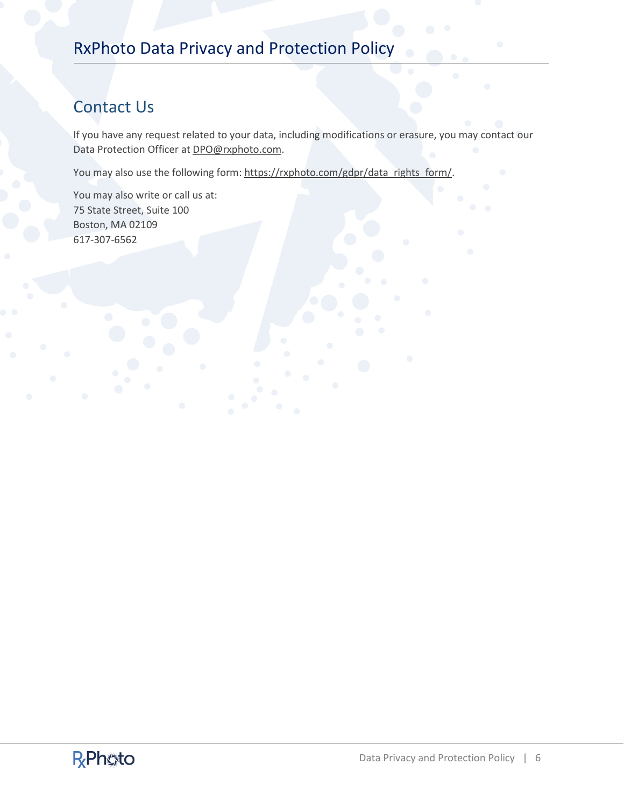# Contact Us

If you have any request related to your data, including modifications or erasure, you may contact our Data Protection Officer at [DPO@rxphoto.com.](mailto:DPO@rxphoto.com)

You may also use the following form: [https://rxphoto.com/gdpr/data\\_rights\\_form/.](https://rxphoto.com/gdpr/data_rights_form/)

You may also write or call us at: 75 State Street, Suite 100 Boston, MA 02109 617-307-6562